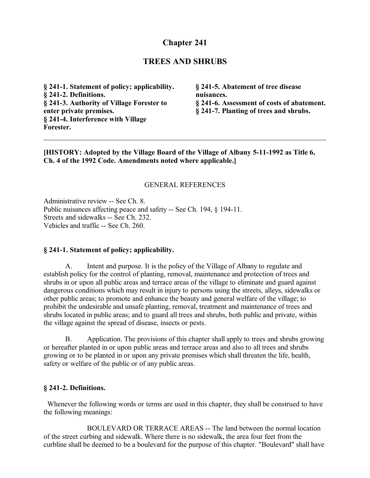# **Chapter 241**

## **TREES AND SHRUBS**

**§ 241-1. Statement of policy; applicability. § 241-2. Definitions. § 241-3. Authority of Village Forester to enter private premises. § 241-4. Interference with Village Forester.**

**§ 241-5. Abatement of tree disease nuisances. § 241-6. Assessment of costs of abatement. § 241-7. Planting of trees and shrubs.**

**[HISTORY: Adopted by the Village Board of the Village of Albany 5-11-1992 as Title 6, Ch. 4 of the 1992 Code. Amendments noted where applicable.]**

#### GENERAL REFERENCES

Administrative review -- See Ch. 8. Public nuisances affecting peace and safety -- See Ch. 194, § 194-11. Streets and sidewalks -- See Ch. 232. Vehicles and traffic -- See Ch. 260.

#### **§ 241-1. Statement of policy; applicability.**

A. Intent and purpose. It is the policy of the Village of Albany to regulate and establish policy for the control of planting, removal, maintenance and protection of trees and shrubs in or upon all public areas and terrace areas of the village to eliminate and guard against dangerous conditions which may result in injury to persons using the streets, alleys, sidewalks or other public areas; to promote and enhance the beauty and general welfare of the village; to prohibit the undesirable and unsafe planting, removal, treatment and maintenance of trees and shrubs located in public areas; and to guard all trees and shrubs, both public and private, within the village against the spread of disease, insects or pests.

B. Application. The provisions of this chapter shall apply to trees and shrubs growing or hereafter planted in or upon public areas and terrace areas and also to all trees and shrubs growing or to be planted in or upon any private premises which shall threaten the life, health, safety or welfare of the public or of any public areas.

#### **§ 241-2. Definitions.**

 Whenever the following words or terms are used in this chapter, they shall be construed to have the following meanings:

BOULEVARD OR TERRACE AREAS -- The land between the normal location of the street curbing and sidewalk. Where there is no sidewalk, the area four feet from the curbline shall be deemed to be a boulevard for the purpose of this chapter. "Boulevard" shall have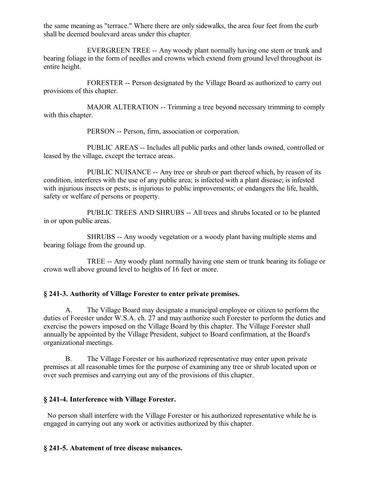the same meaning as "terrace." Where there are only sidewalks, the area four feet from the curb shall be deemed boulevard areas under this chapter.

EVERGREEN TREE -- Any woody plant normally having one stem or trunk and bearing foliage in the form of needles and crowns which extend from ground level throughout its entire height.

FORESTER -- Person designated by the Village Board as authorized to carry out provisions of this chapter.

MAJOR ALTERATION -- Trimming a tree beyond necessary trimming to comply with this chapter.

PERSON -- Person, firm, association or corporation.

PUBLIC AREAS -- Includes all public parks and other lands owned, controlled or leased by the village, except the terrace areas.

PUBLIC NUISANCE -- Any tree or shrub or part thereof which, by reason of its condition, interferes with the use of any public area; is infected with a plant disease; is infested with injurious insects or pests; is injurious to public improvements; or endangers the life, health, safety or welfare of persons or property.

PUBLIC TREES AND SHRUBS -- All trees and shrubs located or to be planted in or upon public areas.

SHRUBS -- Any woody vegetation or a woody plant having multiple stems and bearing foliage from the ground up.

TREE -- Any woody plant normally having one stem or trunk bearing its foliage or crown well above ground level to heights of 16 feet or more.

### **§ 241-3. Authority of Village Forester to enter private premises.**

A. The Village Board may designate a municipal employee or citizen to perform the duties of Forester under W.S.A. ch. 27 and may authorize such Forester to perform the duties and exercise the powers imposed on the Village Board by this chapter. The Village Forester shall annually be appointed by the Village President, subject to Board confirmation, at the Board's organizational meetings.

B. The Village Forester or his authorized representative may enter upon private premises at all reasonable times for the purpose of examining any tree or shrub located upon or over such premises and carrying out any of the provisions of this chapter.

### **§ 241-4. Interference with Village Forester.**

 No person shall interfere with the Village Forester or his authorized representative while he is engaged in carrying out any work or activities authorized by this chapter.

### **§ 241-5. Abatement of tree disease nuisances.**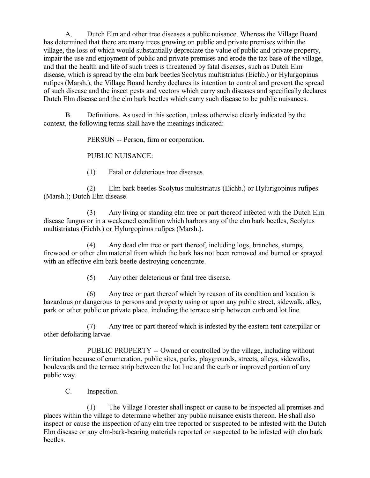A. Dutch Elm and other tree diseases a public nuisance. Whereas the Village Board has determined that there are many trees growing on public and private premises within the village, the loss of which would substantially depreciate the value of public and private property, impair the use and enjoyment of public and private premises and erode the tax base of the village, and that the health and life of such trees is threatened by fatal diseases, such as Dutch Elm disease, which is spread by the elm bark beetles Scolytus multistriatus (Eichb.) or Hylurgopinus rufipes (Marsh.), the Village Board hereby declares its intention to control and prevent the spread of such disease and the insect pests and vectors which carry such diseases and specifically declares Dutch Elm disease and the elm bark beetles which carry such disease to be public nuisances.

B. Definitions. As used in this section, unless otherwise clearly indicated by the context, the following terms shall have the meanings indicated:

PERSON -- Person, firm or corporation.

PUBLIC NUISANCE:

(1) Fatal or deleterious tree diseases.

(2) Elm bark beetles Scolytus multistriatus (Eichb.) or Hylurigopinus rufipes (Marsh.); Dutch Elm disease.

(3) Any living or standing elm tree or part thereof infected with the Dutch Elm disease fungus or in a weakened condition which harbors any of the elm bark beetles, Scolytus multistriatus (Eichb.) or Hylurgopinus rufipes (Marsh.).

(4) Any dead elm tree or part thereof, including logs, branches, stumps, firewood or other elm material from which the bark has not been removed and burned or sprayed with an effective elm bark beetle destroying concentrate.

(5) Any other deleterious or fatal tree disease.

(6) Any tree or part thereof which by reason of its condition and location is hazardous or dangerous to persons and property using or upon any public street, sidewalk, alley, park or other public or private place, including the terrace strip between curb and lot line.

(7) Any tree or part thereof which is infested by the eastern tent caterpillar or other defoliating larvae.

PUBLIC PROPERTY -- Owned or controlled by the village, including without limitation because of enumeration, public sites, parks, playgrounds, streets, alleys, sidewalks, boulevards and the terrace strip between the lot line and the curb or improved portion of any public way.

C. Inspection.

(1) The Village Forester shall inspect or cause to be inspected all premises and places within the village to determine whether any public nuisance exists thereon. He shall also inspect or cause the inspection of any elm tree reported or suspected to be infested with the Dutch Elm disease or any elm-bark-bearing materials reported or suspected to be infested with elm bark beetles.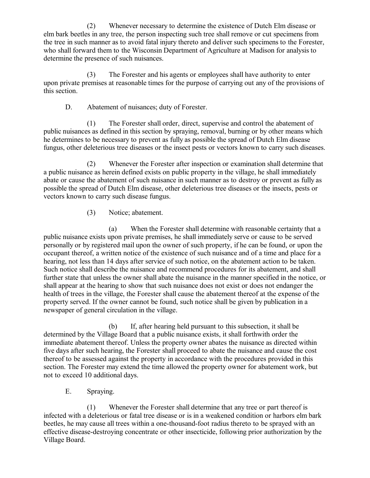(2) Whenever necessary to determine the existence of Dutch Elm disease or elm bark beetles in any tree, the person inspecting such tree shall remove or cut specimens from the tree in such manner as to avoid fatal injury thereto and deliver such specimens to the Forester, who shall forward them to the Wisconsin Department of Agriculture at Madison for analysis to determine the presence of such nuisances.

(3) The Forester and his agents or employees shall have authority to enter upon private premises at reasonable times for the purpose of carrying out any of the provisions of this section.

D. Abatement of nuisances; duty of Forester.

(1) The Forester shall order, direct, supervise and control the abatement of public nuisances as defined in this section by spraying, removal, burning or by other means which he determines to be necessary to prevent as fully as possible the spread of Dutch Elm disease fungus, other deleterious tree diseases or the insect pests or vectors known to carry such diseases.

(2) Whenever the Forester after inspection or examination shall determine that a public nuisance as herein defined exists on public property in the village, he shall immediately abate or cause the abatement of such nuisance in such manner as to destroy or prevent as fully as possible the spread of Dutch Elm disease, other deleterious tree diseases or the insects, pests or vectors known to carry such disease fungus.

(3) Notice; abatement.

(a) When the Forester shall determine with reasonable certainty that a public nuisance exists upon private premises, he shall immediately serve or cause to be served personally or by registered mail upon the owner of such property, if he can be found, or upon the occupant thereof, a written notice of the existence of such nuisance and of a time and place for a hearing, not less than 14 days after service of such notice, on the abatement action to be taken. Such notice shall describe the nuisance and recommend procedures for its abatement, and shall further state that unless the owner shall abate the nuisance in the manner specified in the notice, or shall appear at the hearing to show that such nuisance does not exist or does not endanger the health of trees in the village, the Forester shall cause the abatement thereof at the expense of the property served. If the owner cannot be found, such notice shall be given by publication in a newspaper of general circulation in the village.

(b) If, after hearing held pursuant to this subsection, it shall be determined by the Village Board that a public nuisance exists, it shall forthwith order the immediate abatement thereof. Unless the property owner abates the nuisance as directed within five days after such hearing, the Forester shall proceed to abate the nuisance and cause the cost thereof to be assessed against the property in accordance with the procedures provided in this section. The Forester may extend the time allowed the property owner for abatement work, but not to exceed 10 additional days.

E. Spraying.

(1) Whenever the Forester shall determine that any tree or part thereof is infected with a deleterious or fatal tree disease or is in a weakened condition or harbors elm bark beetles, he may cause all trees within a one-thousand-foot radius thereto to be sprayed with an effective disease-destroying concentrate or other insecticide, following prior authorization by the Village Board.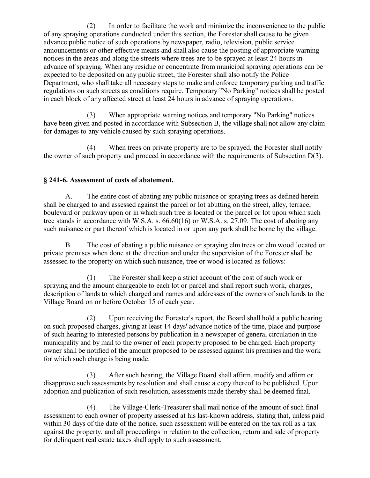(2) In order to facilitate the work and minimize the inconvenience to the public of any spraying operations conducted under this section, the Forester shall cause to be given advance public notice of such operations by newspaper, radio, television, public service announcements or other effective means and shall also cause the posting of appropriate warning notices in the areas and along the streets where trees are to be sprayed at least 24 hours in advance of spraying. When any residue or concentrate from municipal spraying operations can be expected to be deposited on any public street, the Forester shall also notify the Police Department, who shall take all necessary steps to make and enforce temporary parking and traffic regulations on such streets as conditions require. Temporary "No Parking" notices shall be posted in each block of any affected street at least 24 hours in advance of spraying operations.

(3) When appropriate warning notices and temporary "No Parking" notices have been given and posted in accordance with Subsection B, the village shall not allow any claim for damages to any vehicle caused by such spraying operations.

(4) When trees on private property are to be sprayed, the Forester shall notify the owner of such property and proceed in accordance with the requirements of Subsection D(3).

### **§ 241-6. Assessment of costs of abatement.**

A. The entire cost of abating any public nuisance or spraying trees as defined herein shall be charged to and assessed against the parcel or lot abutting on the street, alley, terrace, boulevard or parkway upon or in which such tree is located or the parcel or lot upon which such tree stands in accordance with W.S.A. s. 66.60(16) or W.S.A. s. 27.09. The cost of abating any such nuisance or part thereof which is located in or upon any park shall be borne by the village.

B. The cost of abating a public nuisance or spraying elm trees or elm wood located on private premises when done at the direction and under the supervision of the Forester shall be assessed to the property on which such nuisance, tree or wood is located as follows:

(1) The Forester shall keep a strict account of the cost of such work or spraying and the amount chargeable to each lot or parcel and shall report such work, charges, description of lands to which charged and names and addresses of the owners of such lands to the Village Board on or before October 15 of each year.

(2) Upon receiving the Forester's report, the Board shall hold a public hearing on such proposed charges, giving at least 14 days' advance notice of the time, place and purpose of such hearing to interested persons by publication in a newspaper of general circulation in the municipality and by mail to the owner of each property proposed to be charged. Each property owner shall be notified of the amount proposed to be assessed against his premises and the work for which such charge is being made.

(3) After such hearing, the Village Board shall affirm, modify and affirm or disapprove such assessments by resolution and shall cause a copy thereof to be published. Upon adoption and publication of such resolution, assessments made thereby shall be deemed final.

(4) The Village-Clerk-Treasurer shall mail notice of the amount of such final assessment to each owner of property assessed at his last-known address, stating that, unless paid within 30 days of the date of the notice, such assessment will be entered on the tax roll as a tax against the property, and all proceedings in relation to the collection, return and sale of property for delinquent real estate taxes shall apply to such assessment.